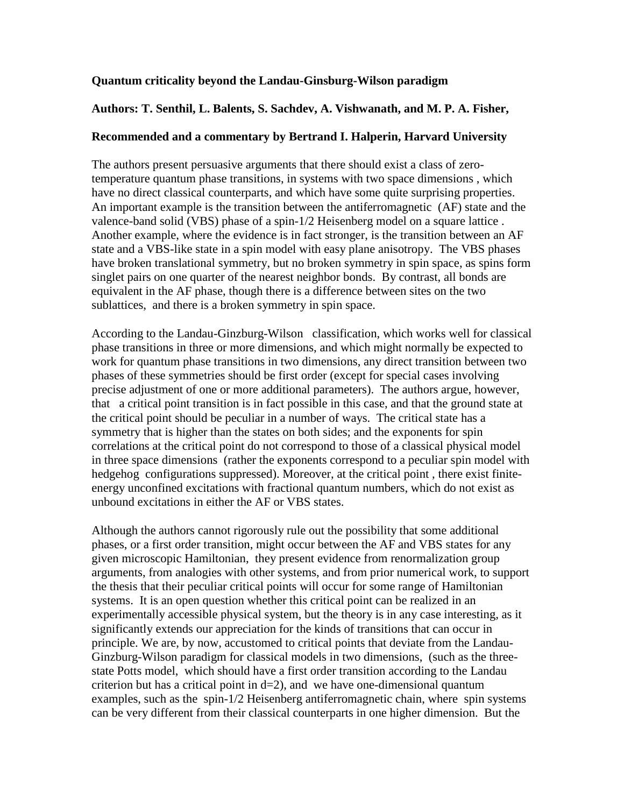## **Quantum criticality beyond the Landau-Ginsburg-Wilson paradigm**

## **Authors: T. Senthil, L. Balents, S. Sachdev, A. Vishwanath, and M. P. A. Fisher,**

## **Recommended and a commentary by Bertrand I. Halperin, Harvard University**

The authors present persuasive arguments that there should exist a class of zerotemperature quantum phase transitions, in systems with two space dimensions , which have no direct classical counterparts, and which have some quite surprising properties. An important example is the transition between the antiferromagnetic (AF) state and the valence-band solid (VBS) phase of a spin-1/2 Heisenberg model on a square lattice . Another example, where the evidence is in fact stronger, is the transition between an AF state and a VBS-like state in a spin model with easy plane anisotropy. The VBS phases have broken translational symmetry, but no broken symmetry in spin space, as spins form singlet pairs on one quarter of the nearest neighbor bonds. By contrast, all bonds are equivalent in the AF phase, though there is a difference between sites on the two sublattices, and there is a broken symmetry in spin space.

According to the Landau-Ginzburg-Wilson classification, which works well for classical phase transitions in three or more dimensions, and which might normally be expected to work for quantum phase transitions in two dimensions, any direct transition between two phases of these symmetries should be first order (except for special cases involving precise adjustment of one or more additional parameters). The authors argue, however, that a critical point transition is in fact possible in this case, and that the ground state at the critical point should be peculiar in a number of ways. The critical state has a symmetry that is higher than the states on both sides; and the exponents for spin correlations at the critical point do not correspond to those of a classical physical model in three space dimensions (rather the exponents correspond to a peculiar spin model with hedgehog configurations suppressed). Moreover, at the critical point , there exist finiteenergy unconfined excitations with fractional quantum numbers, which do not exist as unbound excitations in either the AF or VBS states.

Although the authors cannot rigorously rule out the possibility that some additional phases, or a first order transition, might occur between the AF and VBS states for any given microscopic Hamiltonian, they present evidence from renormalization group arguments, from analogies with other systems, and from prior numerical work, to support the thesis that their peculiar critical points will occur for some range of Hamiltonian systems. It is an open question whether this critical point can be realized in an experimentally accessible physical system, but the theory is in any case interesting, as it significantly extends our appreciation for the kinds of transitions that can occur in principle. We are, by now, accustomed to critical points that deviate from the Landau-Ginzburg-Wilson paradigm for classical models in two dimensions, (such as the threestate Potts model, which should have a first order transition according to the Landau criterion but has a critical point in  $d=2$ ), and we have one-dimensional quantum examples, such as the spin-1/2 Heisenberg antiferromagnetic chain, where spin systems can be very different from their classical counterparts in one higher dimension. But the